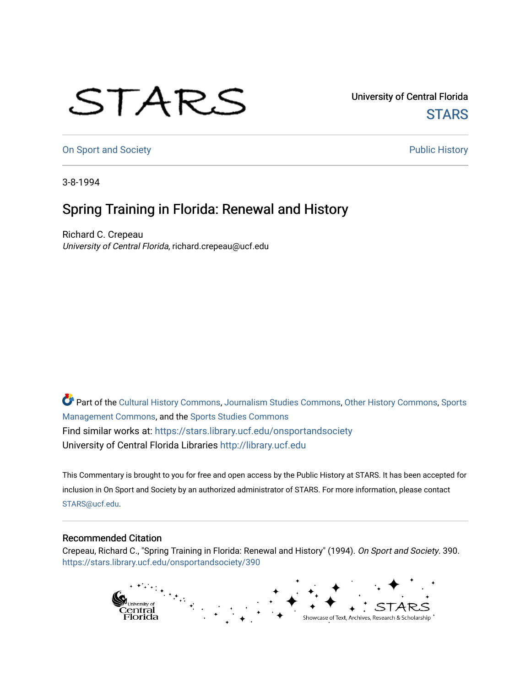## STARS

University of Central Florida **STARS** 

[On Sport and Society](https://stars.library.ucf.edu/onsportandsociety) **Public History** Public History

3-8-1994

## Spring Training in Florida: Renewal and History

Richard C. Crepeau University of Central Florida, richard.crepeau@ucf.edu

Part of the [Cultural History Commons](http://network.bepress.com/hgg/discipline/496?utm_source=stars.library.ucf.edu%2Fonsportandsociety%2F390&utm_medium=PDF&utm_campaign=PDFCoverPages), [Journalism Studies Commons,](http://network.bepress.com/hgg/discipline/333?utm_source=stars.library.ucf.edu%2Fonsportandsociety%2F390&utm_medium=PDF&utm_campaign=PDFCoverPages) [Other History Commons,](http://network.bepress.com/hgg/discipline/508?utm_source=stars.library.ucf.edu%2Fonsportandsociety%2F390&utm_medium=PDF&utm_campaign=PDFCoverPages) [Sports](http://network.bepress.com/hgg/discipline/1193?utm_source=stars.library.ucf.edu%2Fonsportandsociety%2F390&utm_medium=PDF&utm_campaign=PDFCoverPages) [Management Commons](http://network.bepress.com/hgg/discipline/1193?utm_source=stars.library.ucf.edu%2Fonsportandsociety%2F390&utm_medium=PDF&utm_campaign=PDFCoverPages), and the [Sports Studies Commons](http://network.bepress.com/hgg/discipline/1198?utm_source=stars.library.ucf.edu%2Fonsportandsociety%2F390&utm_medium=PDF&utm_campaign=PDFCoverPages) Find similar works at: <https://stars.library.ucf.edu/onsportandsociety> University of Central Florida Libraries [http://library.ucf.edu](http://library.ucf.edu/) 

This Commentary is brought to you for free and open access by the Public History at STARS. It has been accepted for inclusion in On Sport and Society by an authorized administrator of STARS. For more information, please contact [STARS@ucf.edu](mailto:STARS@ucf.edu).

## Recommended Citation

Crepeau, Richard C., "Spring Training in Florida: Renewal and History" (1994). On Sport and Society. 390. [https://stars.library.ucf.edu/onsportandsociety/390](https://stars.library.ucf.edu/onsportandsociety/390?utm_source=stars.library.ucf.edu%2Fonsportandsociety%2F390&utm_medium=PDF&utm_campaign=PDFCoverPages)

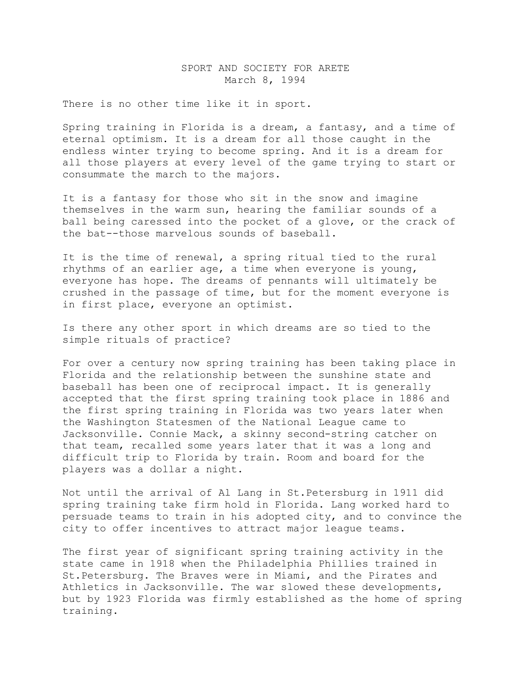## SPORT AND SOCIETY FOR ARETE March 8, 1994

There is no other time like it in sport.

Spring training in Florida is a dream, a fantasy, and a time of eternal optimism. It is a dream for all those caught in the endless winter trying to become spring. And it is a dream for all those players at every level of the game trying to start or consummate the march to the majors.

It is a fantasy for those who sit in the snow and imagine themselves in the warm sun, hearing the familiar sounds of a ball being caressed into the pocket of a glove, or the crack of the bat--those marvelous sounds of baseball.

It is the time of renewal, a spring ritual tied to the rural rhythms of an earlier age, a time when everyone is young, everyone has hope. The dreams of pennants will ultimately be crushed in the passage of time, but for the moment everyone is in first place, everyone an optimist.

Is there any other sport in which dreams are so tied to the simple rituals of practice?

For over a century now spring training has been taking place in Florida and the relationship between the sunshine state and baseball has been one of reciprocal impact. It is generally accepted that the first spring training took place in 1886 and the first spring training in Florida was two years later when the Washington Statesmen of the National League came to Jacksonville. Connie Mack, a skinny second-string catcher on that team, recalled some years later that it was a long and difficult trip to Florida by train. Room and board for the players was a dollar a night.

Not until the arrival of Al Lang in St.Petersburg in 1911 did spring training take firm hold in Florida. Lang worked hard to persuade teams to train in his adopted city, and to convince the city to offer incentives to attract major league teams.

The first year of significant spring training activity in the state came in 1918 when the Philadelphia Phillies trained in St.Petersburg. The Braves were in Miami, and the Pirates and Athletics in Jacksonville. The war slowed these developments, but by 1923 Florida was firmly established as the home of spring training.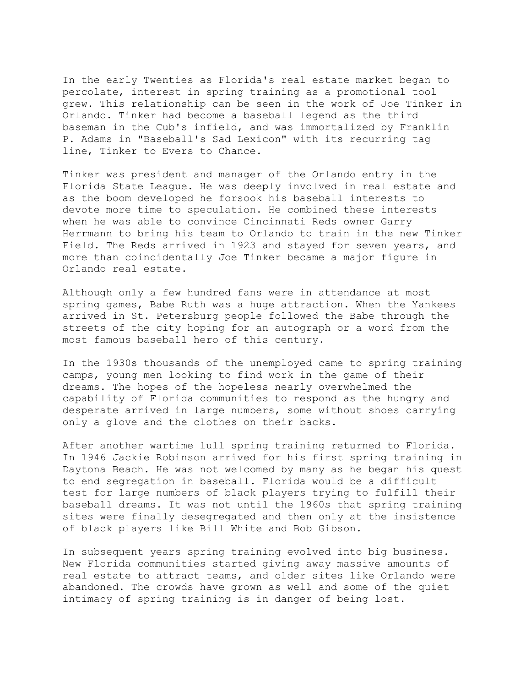In the early Twenties as Florida's real estate market began to percolate, interest in spring training as a promotional tool grew. This relationship can be seen in the work of Joe Tinker in Orlando. Tinker had become a baseball legend as the third baseman in the Cub's infield, and was immortalized by Franklin P. Adams in "Baseball's Sad Lexicon" with its recurring tag line, Tinker to Evers to Chance.

Tinker was president and manager of the Orlando entry in the Florida State League. He was deeply involved in real estate and as the boom developed he forsook his baseball interests to devote more time to speculation. He combined these interests when he was able to convince Cincinnati Reds owner Garry Herrmann to bring his team to Orlando to train in the new Tinker Field. The Reds arrived in 1923 and stayed for seven years, and more than coincidentally Joe Tinker became a major figure in Orlando real estate.

Although only a few hundred fans were in attendance at most spring games, Babe Ruth was a huge attraction. When the Yankees arrived in St. Petersburg people followed the Babe through the streets of the city hoping for an autograph or a word from the most famous baseball hero of this century.

In the 1930s thousands of the unemployed came to spring training camps, young men looking to find work in the game of their dreams. The hopes of the hopeless nearly overwhelmed the capability of Florida communities to respond as the hungry and desperate arrived in large numbers, some without shoes carrying only a glove and the clothes on their backs.

After another wartime lull spring training returned to Florida. In 1946 Jackie Robinson arrived for his first spring training in Daytona Beach. He was not welcomed by many as he began his quest to end segregation in baseball. Florida would be a difficult test for large numbers of black players trying to fulfill their baseball dreams. It was not until the 1960s that spring training sites were finally desegregated and then only at the insistence of black players like Bill White and Bob Gibson.

In subsequent years spring training evolved into big business. New Florida communities started giving away massive amounts of real estate to attract teams, and older sites like Orlando were abandoned. The crowds have grown as well and some of the quiet intimacy of spring training is in danger of being lost.